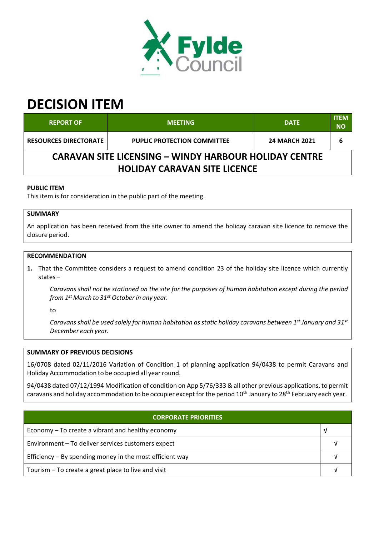

# **DECISION ITEM**

| <b>REPORT OF</b>                                             | <b>MEETING</b>                     | <b>DATE</b>          | <b>ITEM</b><br><b>NO</b> |  |  |
|--------------------------------------------------------------|------------------------------------|----------------------|--------------------------|--|--|
| <b>RESOURCES DIRECTORATE</b>                                 | <b>PUPLIC PROTECTION COMMITTEE</b> | <b>24 MARCH 2021</b> |                          |  |  |
| <b>CARAVAN SITE LICENSING - WINDY HARBOUR HOLIDAY CENTRE</b> |                                    |                      |                          |  |  |
| <b>HOLIDAY CARAVAN SITE LICENCE</b>                          |                                    |                      |                          |  |  |

### **PUBLIC ITEM**

This item is for consideration in the public part of the meeting.

## **SUMMARY**

An application has been received from the site owner to amend the holiday caravan site licence to remove the closure period.

### **RECOMMENDATION**

**1.** That the Committee considers a request to amend condition 23 of the holiday site licence which currently states –

Caravans shall not be stationed on the site for the purposes of human habitation except during the period *from 1 st March to 31 st October in any year.*

to

Caravans shall be used solely for human habitation as static holiday caravans between 1st January and 31st *December each year.*

#### **SUMMARY OF PREVIOUS DECISIONS**

16/0708 dated 02/11/2016 Variation of Condition 1 of planning application 94/0438 to permit Caravans and Holiday Accommodation to be occupied all year round.

94/0438 dated 07/12/1994 Modification of condition on App 5/76/333 & all other previous applications, to permit caravans and holiday accommodation to be occupier except for the period 10<sup>th</sup> January to 28<sup>th</sup> February each year.

| <b>CORPORATE PRIORITIES</b>                                |  |  |  |
|------------------------------------------------------------|--|--|--|
| Economy – To create a vibrant and healthy economy<br>- V   |  |  |  |
| Environment - To deliver services customers expect         |  |  |  |
| Efficiency $-$ By spending money in the most efficient way |  |  |  |
| Tourism - To create a great place to live and visit        |  |  |  |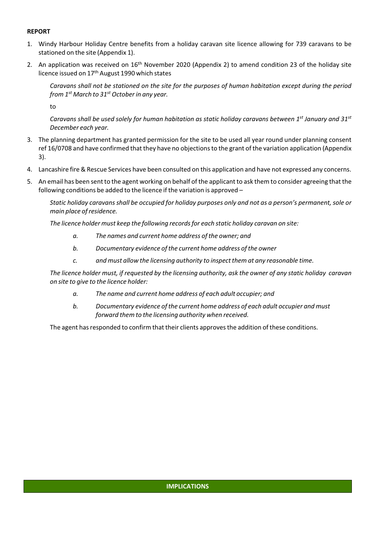## **REPORT**

- 1. Windy Harbour Holiday Centre benefits from a holiday caravan site licence allowing for 739 caravans to be stationed on the site (Appendix 1).
- 2. An application was received on 16<sup>th</sup> November 2020 (Appendix 2) to amend condition 23 of the holiday site licence issued on 17<sup>th</sup> August 1990 which states

Caravans shall not be stationed on the site for the purposes of human habitation except during the period *from 1 st March to 31 st October in any year.*

to

Caravans shall be used solely for human habitation as static holiday caravans between 1st January and 31st *December each year.*

- 3. The planning department has granted permission for the site to be used all year round under planning consent ref 16/0708 and have confirmed that they have no objectionsto the grant of the variation application (Appendix 3).
- 4. Lancashire fire& Rescue Services have been consulted on this application and have not expressed any concerns.
- 5. An email has been sent to the agent working on behalf of the applicant to ask them to consider agreeing that the following conditions be added to the licence if the variation is approved –

Static holiday caravans shall be occupied for holiday purposes only and not as a person's permanent, sole or *main place of residence.*

*The licence holder must keep the following recordsfor each static holiday caravan on site:*

- *a. The names and current home address of the owner; and*
- *b. Documentary evidence of the current home address of the owner*
- *c. and must allow the licensing authority to inspect them at any reasonable time.*

The licence holder must, if requested by the licensing authority, ask the owner of any static holiday caravan *on site to give to the licence holder:*

- *a. The name and current home address of each adult occupier; and*
- *b. Documentary evidence of the current home address of each adult occupier and must forward them to the licensing authority when received.*

The agent has responded to confirm that their clients approves the addition of these conditions.